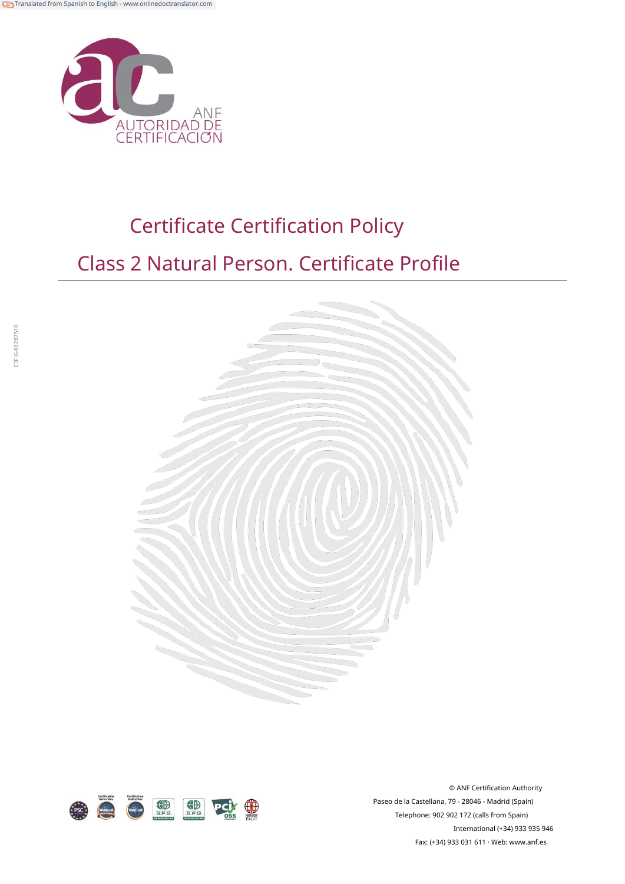

# Certificate Certification Policy

## Class 2 Natural Person. Certificate Profile





© ANF Certification Authority Paseo de la Castellana, 79 - 28046 - Madrid (Spain) Telephone: 902 902 172 (calls from Spain) International (+34) 933 935 946 Fax: (+34) 933 031 611 · Web: ww[w.anf.es](http://www.anf.es/)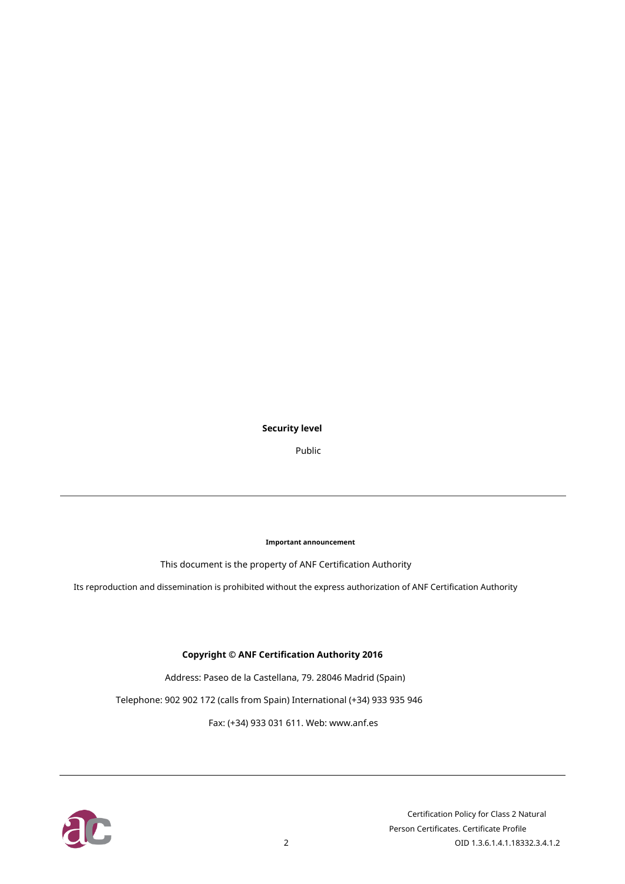#### **Security level**

Public

**Important announcement**

This document is the property of ANF Certification Authority

Its reproduction and dissemination is prohibited without the express authorization of ANF Certification Authority

#### **Copyright © ANF Certification Authority 2016**

Address: Paseo de la Castellana, 79. 28046 Madrid (Spain)

Telephone: 902 902 172 (calls from Spain) International (+34) 933 935 946

Fax: (+34) 933 031 611. Web: www.a[nf.es](http://www.anf.es/)

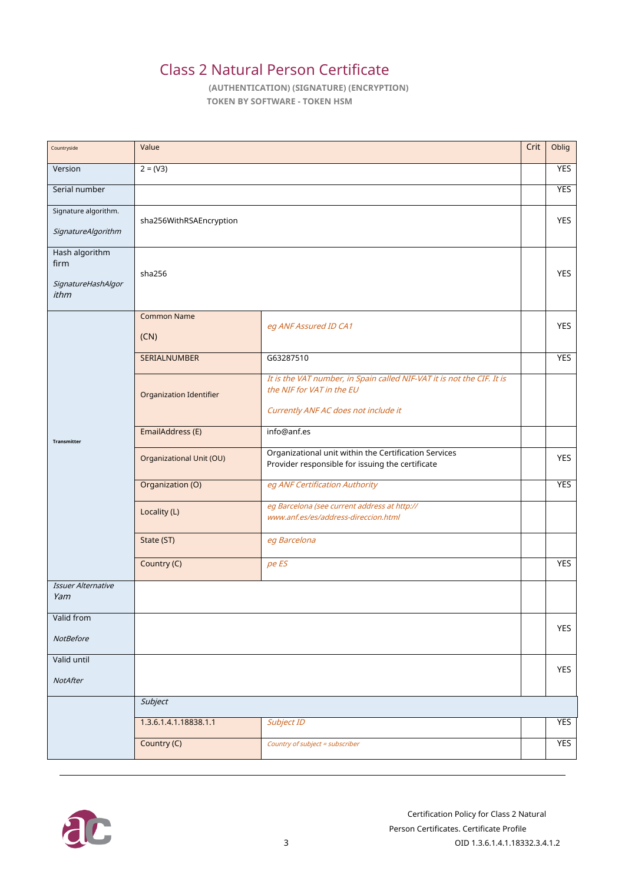### Class 2 Natural Person Certificate

**(AUTHENTICATION) (SIGNATURE) (ENCRYPTION) TOKEN BY SOFTWARE - TOKEN HSM**

| Countryside               | Value                           |                                                                                                     | Crit | Oblig      |  |  |
|---------------------------|---------------------------------|-----------------------------------------------------------------------------------------------------|------|------------|--|--|
| Version                   | $2 = (V3)$                      |                                                                                                     |      | <b>YES</b> |  |  |
| Serial number             |                                 |                                                                                                     |      | <b>YES</b> |  |  |
| Signature algorithm.      | sha256WithRSAEncryption         |                                                                                                     |      | <b>YES</b> |  |  |
| SignatureAlgorithm        |                                 |                                                                                                     |      |            |  |  |
| Hash algorithm<br>firm    |                                 |                                                                                                     |      |            |  |  |
| SignatureHashAlgor        | sha256                          |                                                                                                     |      |            |  |  |
| ithm                      |                                 |                                                                                                     |      |            |  |  |
|                           | <b>Common Name</b>              | eg ANF Assured ID CA1                                                                               |      | <b>YES</b> |  |  |
|                           | (CN)                            |                                                                                                     |      |            |  |  |
|                           | <b>SERIALNUMBER</b>             | G63287510                                                                                           |      | <b>YES</b> |  |  |
|                           | Organization Identifier         | It is the VAT number, in Spain called NIF-VAT it is not the CIF. It is<br>the NIF for VAT in the EU |      |            |  |  |
|                           |                                 | Currently ANF AC does not include it                                                                |      |            |  |  |
|                           | EmailAddress (E)<br>info@anf.es |                                                                                                     |      |            |  |  |
| Transmitter               |                                 | Organizational unit within the Certification Services                                               |      |            |  |  |
|                           | Organizational Unit (OU)        | Provider responsible for issuing the certificate                                                    |      | <b>YES</b> |  |  |
|                           | Organization (O)                | eg ANF Certification Authority                                                                      |      | <b>YES</b> |  |  |
|                           | Locality (L)                    | eg Barcelona (see current address at http://<br>www.anf.es/es/address-direccion.html                |      |            |  |  |
|                           | State (ST)                      | eg Barcelona                                                                                        |      |            |  |  |
|                           |                                 |                                                                                                     |      |            |  |  |
|                           | Country (C)                     | pe ES                                                                                               |      | <b>YES</b> |  |  |
| Issuer Alternative<br>Yam |                                 |                                                                                                     |      |            |  |  |
| Valid from                |                                 |                                                                                                     |      | YES        |  |  |
| <b>NotBefore</b>          |                                 |                                                                                                     |      |            |  |  |
| Valid until               |                                 |                                                                                                     |      | YES        |  |  |
| NotAfter                  |                                 |                                                                                                     |      |            |  |  |
|                           | Subject                         |                                                                                                     |      |            |  |  |
|                           | 1.3.6.1.4.1.18838.1.1           | Subject ID                                                                                          |      | YES        |  |  |
|                           | Country (C)                     | Country of subject = subscriber                                                                     |      | YES        |  |  |

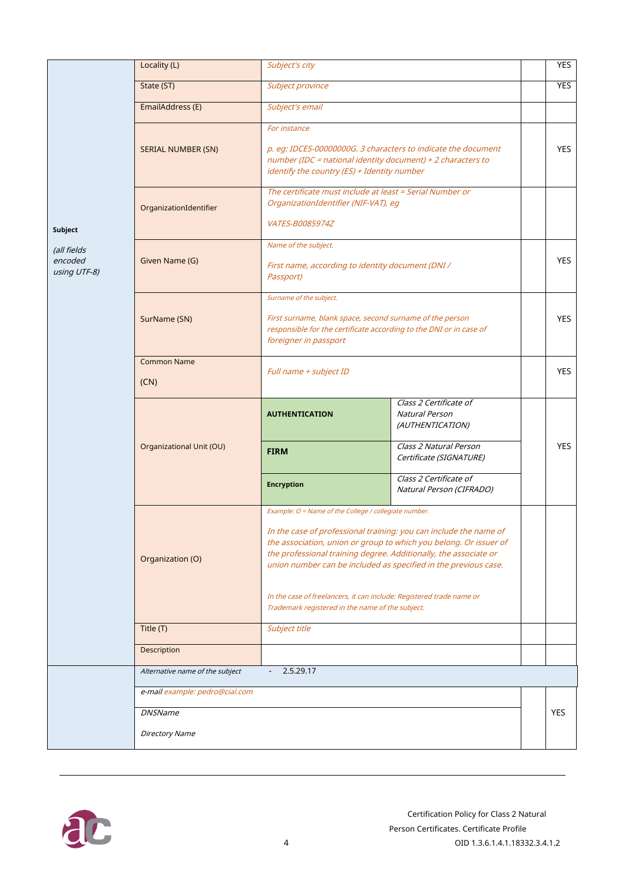|                                        | Locality (L)                                                             | Subject's city                                                                                                                                                                                                                                                                                                                                                                                                                                                     | <b>YES</b>                                                          |            |  |
|----------------------------------------|--------------------------------------------------------------------------|--------------------------------------------------------------------------------------------------------------------------------------------------------------------------------------------------------------------------------------------------------------------------------------------------------------------------------------------------------------------------------------------------------------------------------------------------------------------|---------------------------------------------------------------------|------------|--|
|                                        | State (ST)                                                               | Subject province                                                                                                                                                                                                                                                                                                                                                                                                                                                   |                                                                     | <b>YES</b> |  |
|                                        | EmailAddress (E)                                                         | Subject's email                                                                                                                                                                                                                                                                                                                                                                                                                                                    |                                                                     |            |  |
|                                        | <b>SERIAL NUMBER (SN)</b>                                                | For instance<br>p. eg: IDCES-00000000G. 3 characters to indicate the document<br>number (IDC = national identity document) + 2 characters to<br>identify the country (ES) + Identity number                                                                                                                                                                                                                                                                        |                                                                     | <b>YES</b> |  |
| Subject                                | OrganizationIdentifier                                                   | The certificate must include at least = Serial Number or<br>OrganizationIdentifier (NIF-VAT), eg<br>VATES-B0085974Z                                                                                                                                                                                                                                                                                                                                                |                                                                     |            |  |
| (all fields<br>encoded<br>using UTF-8) | Given Name (G)                                                           | Name of the subject.<br>First name, according to identity document (DNI /<br>Passport)                                                                                                                                                                                                                                                                                                                                                                             |                                                                     | <b>YES</b> |  |
|                                        | SurName (SN)                                                             | Surname of the subject.<br>First surname, blank space, second surname of the person<br>responsible for the certificate according to the DNI or in case of<br>foreigner in passport                                                                                                                                                                                                                                                                                 |                                                                     | <b>YES</b> |  |
|                                        | <b>Common Name</b><br>(CN)                                               | Full name + subject ID                                                                                                                                                                                                                                                                                                                                                                                                                                             |                                                                     | <b>YES</b> |  |
|                                        |                                                                          | <b>AUTHENTICATION</b>                                                                                                                                                                                                                                                                                                                                                                                                                                              | Class 2 Certificate of<br><b>Natural Person</b><br>(AUTHENTICATION) |            |  |
|                                        | Organizational Unit (OU)                                                 | <b>FIRM</b>                                                                                                                                                                                                                                                                                                                                                                                                                                                        | Class 2 Natural Person<br>Certificate (SIGNATURE)                   | <b>YES</b> |  |
|                                        |                                                                          | <b>Encryption</b>                                                                                                                                                                                                                                                                                                                                                                                                                                                  | Class 2 Certificate of<br>Natural Person (CIFRADO)                  |            |  |
|                                        | Organization (O)                                                         | Example: O = Name of the College / collegiate number.<br>In the case of professional training: you can include the name of<br>the association, union or group to which you belong. Or issuer of<br>the professional training degree. Additionally, the associate or<br>union number can be included as specified in the previous case.<br>In the case of freelancers, it can include: Registered trade name or<br>Trademark registered in the name of the subject. |                                                                     |            |  |
|                                        | Title (T)                                                                | Subject title                                                                                                                                                                                                                                                                                                                                                                                                                                                      |                                                                     |            |  |
|                                        | Description                                                              |                                                                                                                                                                                                                                                                                                                                                                                                                                                                    |                                                                     |            |  |
|                                        | 2.5.29.17<br>Alternative name of the subject<br>$\overline{\phantom{a}}$ |                                                                                                                                                                                                                                                                                                                                                                                                                                                                    |                                                                     |            |  |
|                                        | e-mail example: pedro@cial.com                                           |                                                                                                                                                                                                                                                                                                                                                                                                                                                                    |                                                                     |            |  |
|                                        | <b>DNSName</b>                                                           |                                                                                                                                                                                                                                                                                                                                                                                                                                                                    |                                                                     |            |  |
|                                        | <b>Directory Name</b>                                                    |                                                                                                                                                                                                                                                                                                                                                                                                                                                                    |                                                                     |            |  |

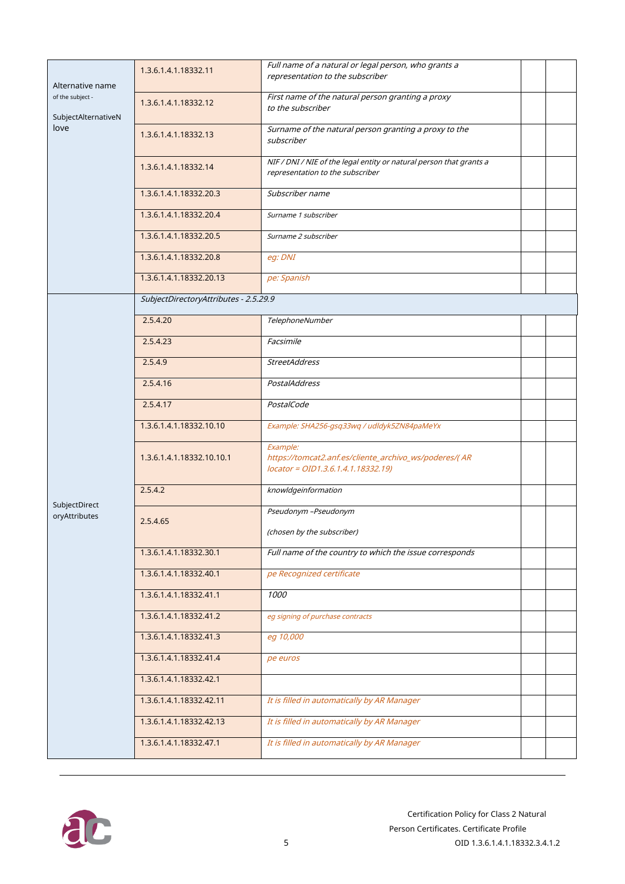| Alternative name<br>of the subject -<br>SubjectAlternativeN<br>love | 1.3.6.1.4.1.18332.11                  | Full name of a natural or legal person, who grants a<br>representation to the subscriber                 |  |
|---------------------------------------------------------------------|---------------------------------------|----------------------------------------------------------------------------------------------------------|--|
|                                                                     | 1.3.6.1.4.1.18332.12                  | First name of the natural person granting a proxy<br>to the subscriber                                   |  |
|                                                                     | 1.3.6.1.4.1.18332.13                  | Surname of the natural person granting a proxy to the<br>subscriber                                      |  |
|                                                                     | 1.3.6.1.4.1.18332.14                  | NIF / DNI / NIE of the legal entity or natural person that grants a<br>representation to the subscriber  |  |
|                                                                     | 1.3.6.1.4.1.18332.20.3                | Subscriber name                                                                                          |  |
|                                                                     | 1.3.6.1.4.1.18332.20.4                | Surname 1 subscriber                                                                                     |  |
|                                                                     | 1.3.6.1.4.1.18332.20.5                | Surname 2 subscriber                                                                                     |  |
|                                                                     | 1.3.6.1.4.1.18332.20.8                | eg: DNI                                                                                                  |  |
|                                                                     | 1.3.6.1.4.1.18332.20.13               | pe: Spanish                                                                                              |  |
|                                                                     | SubjectDirectoryAttributes - 2.5.29.9 |                                                                                                          |  |
|                                                                     | 2.5.4.20                              | TelephoneNumber                                                                                          |  |
|                                                                     | 2.5.4.23                              | Facsimile                                                                                                |  |
|                                                                     | 2.5.4.9                               | <b>StreetAddress</b>                                                                                     |  |
|                                                                     | 2.5.4.16                              | <b>PostalAddress</b>                                                                                     |  |
|                                                                     | 2.5.4.17                              | PostalCode                                                                                               |  |
|                                                                     | 1.3.6.1.4.1.18332.10.10               | Example: SHA256-gsq33wq / udldyk5ZN84paMeYx                                                              |  |
|                                                                     | 1.3.6.1.4.1.18332.10.10.1             | Example:<br>https://tomcat2.anf.es/cliente_archivo_ws/poderes/( AR<br>locator = OID1.3.6.1.4.1.18332.19) |  |
|                                                                     | 2.5.4.2                               | knowldgeinformation                                                                                      |  |
| SubjectDirect<br>oryAttributes                                      | 2.5.4.65                              | Pseudonym -Pseudonym                                                                                     |  |
|                                                                     |                                       | (chosen by the subscriber)                                                                               |  |
|                                                                     | 1.3.6.1.4.1.18332.30.1                | Full name of the country to which the issue corresponds                                                  |  |
|                                                                     | 1.3.6.1.4.1.18332.40.1                | pe Recognized certificate                                                                                |  |
|                                                                     | 1.3.6.1.4.1.18332.41.1                | 1000                                                                                                     |  |
|                                                                     | 1.3.6.1.4.1.18332.41.2                | eg signing of purchase contracts                                                                         |  |
|                                                                     | 1.3.6.1.4.1.18332.41.3                | eg 10,000                                                                                                |  |
|                                                                     | 1.3.6.1.4.1.18332.41.4                | pe euros                                                                                                 |  |
|                                                                     | 1.3.6.1.4.1.18332.42.1                |                                                                                                          |  |
|                                                                     | 1.3.6.1.4.1.18332.42.11               | It is filled in automatically by AR Manager                                                              |  |
|                                                                     | 1.3.6.1.4.1.18332.42.13               | It is filled in automatically by AR Manager                                                              |  |
|                                                                     | 1.3.6.1.4.1.18332.47.1                | It is filled in automatically by AR Manager                                                              |  |

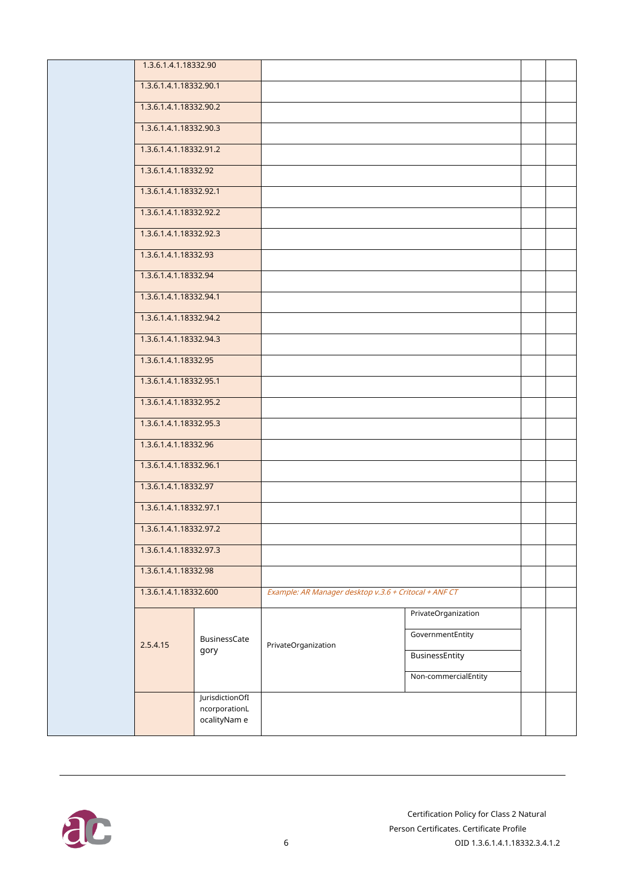| 1.3.6.1.4.1.18332.90   |                                                  |                                                       |                      |  |
|------------------------|--------------------------------------------------|-------------------------------------------------------|----------------------|--|
| 1.3.6.1.4.1.18332.90.1 |                                                  |                                                       |                      |  |
| 1.3.6.1.4.1.18332.90.2 |                                                  |                                                       |                      |  |
| 1.3.6.1.4.1.18332.90.3 |                                                  |                                                       |                      |  |
| 1.3.6.1.4.1.18332.91.2 |                                                  |                                                       |                      |  |
| 1.3.6.1.4.1.18332.92   |                                                  |                                                       |                      |  |
| 1.3.6.1.4.1.18332.92.1 |                                                  |                                                       |                      |  |
| 1.3.6.1.4.1.18332.92.2 |                                                  |                                                       |                      |  |
| 1.3.6.1.4.1.18332.92.3 |                                                  |                                                       |                      |  |
| 1.3.6.1.4.1.18332.93   |                                                  |                                                       |                      |  |
| 1.3.6.1.4.1.18332.94   |                                                  |                                                       |                      |  |
| 1.3.6.1.4.1.18332.94.1 |                                                  |                                                       |                      |  |
| 1.3.6.1.4.1.18332.94.2 |                                                  |                                                       |                      |  |
| 1.3.6.1.4.1.18332.94.3 |                                                  |                                                       |                      |  |
| 1.3.6.1.4.1.18332.95   |                                                  |                                                       |                      |  |
| 1.3.6.1.4.1.18332.95.1 |                                                  |                                                       |                      |  |
| 1.3.6.1.4.1.18332.95.2 |                                                  |                                                       |                      |  |
| 1.3.6.1.4.1.18332.95.3 |                                                  |                                                       |                      |  |
| 1.3.6.1.4.1.18332.96   |                                                  |                                                       |                      |  |
| 1.3.6.1.4.1.18332.96.1 |                                                  |                                                       |                      |  |
| 1.3.6.1.4.1.18332.97   |                                                  |                                                       |                      |  |
| 1.3.6.1.4.1.18332.97.1 |                                                  |                                                       |                      |  |
| 1.3.6.1.4.1.18332.97.2 |                                                  |                                                       |                      |  |
| 1.3.6.1.4.1.18332.97.3 |                                                  |                                                       |                      |  |
| 1.3.6.1.4.1.18332.98   |                                                  |                                                       |                      |  |
| 1.3.6.1.4.1.18332.600  |                                                  | Example: AR Manager desktop v.3.6 + Critocal + ANF CT |                      |  |
|                        |                                                  |                                                       | PrivateOrganization  |  |
| 2.5.4.15               | BusinessCate                                     | PrivateOrganization                                   | GovernmentEntity     |  |
|                        | gory                                             |                                                       | BusinessEntity       |  |
|                        |                                                  |                                                       | Non-commercialEntity |  |
|                        | JurisdictionOfI<br>ncorporationL<br>ocalityNam e |                                                       |                      |  |
|                        |                                                  |                                                       |                      |  |

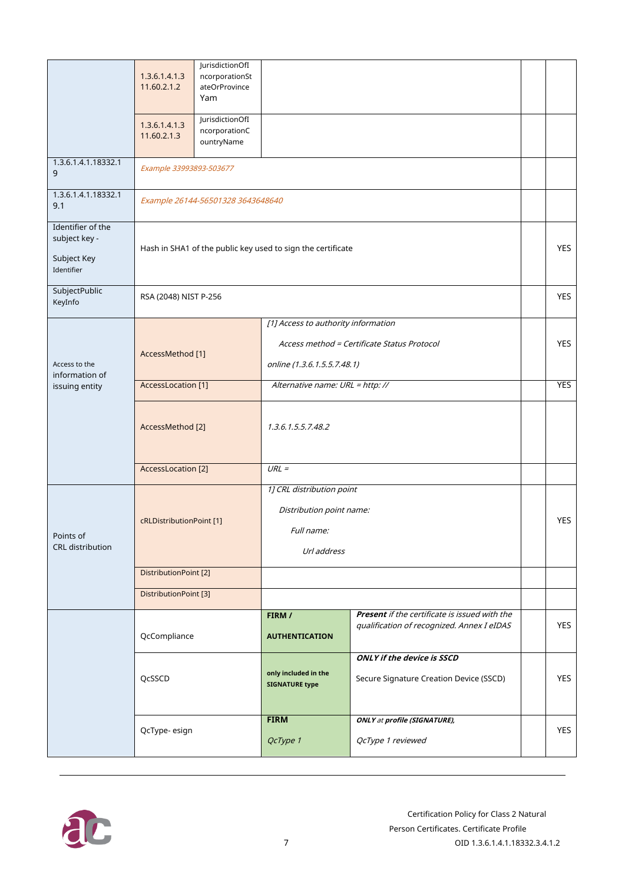|                                                                 | 1.3.6.1.4.1.3<br>11.60.2.1.2 | JurisdictionOfI<br>ncorporationSt<br>ateOrProvince<br>Yam   |                                                                                                                   |                                                                                             |  |            |
|-----------------------------------------------------------------|------------------------------|-------------------------------------------------------------|-------------------------------------------------------------------------------------------------------------------|---------------------------------------------------------------------------------------------|--|------------|
|                                                                 | 1.3.6.1.4.1.3<br>11.60.2.1.3 | JurisdictionOfI<br>ncorporationC<br>ountryName              |                                                                                                                   |                                                                                             |  |            |
| 1.3.6.1.4.1.18332.1<br>9                                        | Example 33993893-503677      |                                                             |                                                                                                                   |                                                                                             |  |            |
| 1.3.6.1.4.1.18332.1<br>9.1                                      |                              | Example 26144-56501328 3643648640                           |                                                                                                                   |                                                                                             |  |            |
| Identifier of the<br>subject key -<br>Subject Key<br>Identifier |                              | Hash in SHA1 of the public key used to sign the certificate |                                                                                                                   |                                                                                             |  | <b>YES</b> |
| SubjectPublic<br>KeyInfo                                        | RSA (2048) NIST P-256        |                                                             |                                                                                                                   |                                                                                             |  | <b>YES</b> |
| Access to the<br>information of<br>issuing entity               | AccessMethod [1]             |                                                             | [1] Access to authority information<br>Access method = Certificate Status Protocol<br>online (1.3.6.1.5.5.7.48.1) |                                                                                             |  | <b>YES</b> |
|                                                                 | AccessLocation [1]           |                                                             | Alternative name: URL = http://                                                                                   |                                                                                             |  | <b>YES</b> |
|                                                                 | AccessMethod [2]             |                                                             | 1.3.6.1.5.5.7.48.2                                                                                                |                                                                                             |  |            |
|                                                                 | <b>AccessLocation</b> [2]    |                                                             | $URL =$                                                                                                           |                                                                                             |  |            |
| Points of<br><b>CRL</b> distribution                            | cRLDistributionPoint [1]     |                                                             | 1] CRL distribution point<br>Distribution point name:<br>Full name:<br>Url address                                |                                                                                             |  | <b>YES</b> |
|                                                                 | DistributionPoint [2]        |                                                             |                                                                                                                   |                                                                                             |  |            |
|                                                                 | DistributionPoint [3]        |                                                             |                                                                                                                   |                                                                                             |  |            |
|                                                                 | QcCompliance                 |                                                             | FIRM /<br><b>AUTHENTICATION</b>                                                                                   | Present if the certificate is issued with the<br>qualification of recognized. Annex I eIDAS |  | YES        |
|                                                                 | QcSSCD                       |                                                             | only included in the<br><b>SIGNATURE type</b>                                                                     | <b>ONLY if the device is SSCD</b><br>Secure Signature Creation Device (SSCD)                |  | <b>YES</b> |
|                                                                 | QcType-esign                 |                                                             | <b>FIRM</b><br>QcType 1                                                                                           | <b>ONLY at profile (SIGNATURE),</b><br>QcType 1 reviewed                                    |  | <b>YES</b> |

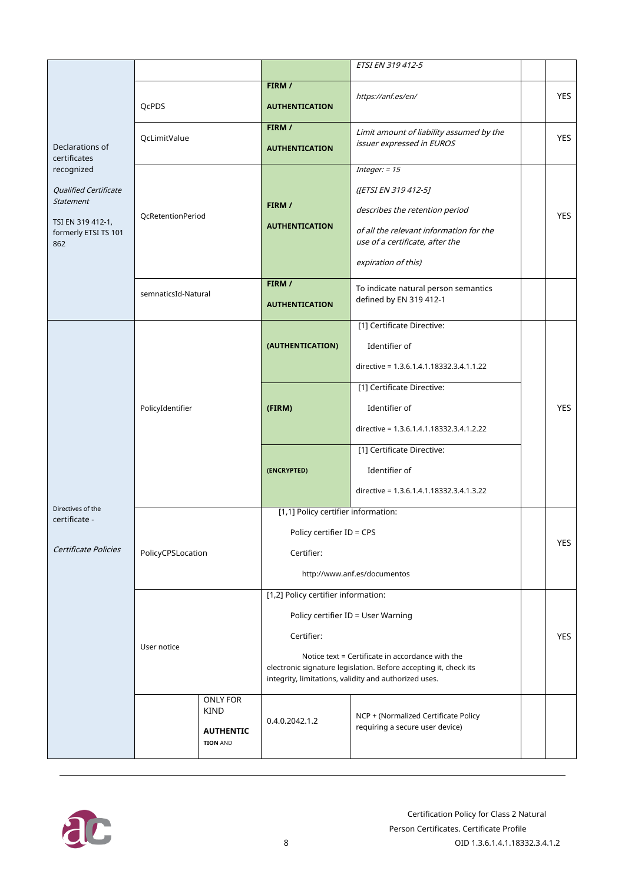|                              |                                     |             |                                                       | ETSI EN 319 412-5                                                                                                    |  |            |
|------------------------------|-------------------------------------|-------------|-------------------------------------------------------|----------------------------------------------------------------------------------------------------------------------|--|------------|
|                              |                                     |             | FIRM /                                                |                                                                                                                      |  |            |
|                              | QcPDS                               |             |                                                       | https://anf.es/en/                                                                                                   |  | <b>YES</b> |
|                              |                                     |             | <b>AUTHENTICATION</b>                                 |                                                                                                                      |  |            |
|                              |                                     |             | FIRM /                                                | Limit amount of liability assumed by the                                                                             |  |            |
| Declarations of              | QcLimitValue                        |             | <b>AUTHENTICATION</b>                                 | issuer expressed in EUROS                                                                                            |  | <b>YES</b> |
| certificates                 |                                     |             |                                                       |                                                                                                                      |  |            |
| recognized                   |                                     |             |                                                       | Integer: $= 15$                                                                                                      |  |            |
| <b>Qualified Certificate</b> |                                     |             |                                                       | ([ETSI EN 319 412-5]                                                                                                 |  |            |
| <b>Statement</b>             |                                     |             | FIRM /                                                |                                                                                                                      |  |            |
| TSI EN 319 412-1,            | QcRetentionPeriod                   |             |                                                       | describes the retention period                                                                                       |  | <b>YES</b> |
| formerly ETSI TS 101<br>862  |                                     |             | <b>AUTHENTICATION</b>                                 | of all the relevant information for the<br>use of a certificate, after the                                           |  |            |
|                              |                                     |             |                                                       | expiration of this)                                                                                                  |  |            |
|                              |                                     |             |                                                       |                                                                                                                      |  |            |
|                              | semnaticsId-Natural                 |             | FIRM /                                                | To indicate natural person semantics                                                                                 |  |            |
|                              |                                     |             | <b>AUTHENTICATION</b>                                 | defined by EN 319 412-1                                                                                              |  |            |
|                              |                                     |             |                                                       |                                                                                                                      |  |            |
|                              |                                     |             |                                                       | [1] Certificate Directive:                                                                                           |  |            |
|                              |                                     |             | (AUTHENTICATION)                                      | Identifier of                                                                                                        |  |            |
|                              |                                     |             |                                                       | directive = 1.3.6.1.4.1.18332.3.4.1.1.22                                                                             |  |            |
|                              |                                     |             |                                                       | [1] Certificate Directive:                                                                                           |  |            |
|                              | PolicyIdentifier                    |             | (FIRM)                                                | Identifier of                                                                                                        |  | <b>YES</b> |
|                              |                                     |             |                                                       | directive = 1.3.6.1.4.1.18332.3.4.1.2.22                                                                             |  |            |
|                              |                                     |             |                                                       | [1] Certificate Directive:                                                                                           |  |            |
|                              |                                     |             |                                                       |                                                                                                                      |  |            |
|                              |                                     |             | (ENCRYPTED)                                           | Identifier of                                                                                                        |  |            |
| Directives of the            |                                     |             |                                                       | directive = 1.3.6.1.4.1.18332.3.4.1.3.22                                                                             |  |            |
| certificate -                |                                     |             | [1,1] Policy certifier information:                   |                                                                                                                      |  |            |
|                              |                                     |             | Policy certifier ID = CPS                             |                                                                                                                      |  |            |
| Certificate Policies         | PolicyCPSLocation                   |             | Certifier:                                            |                                                                                                                      |  | <b>YES</b> |
|                              |                                     |             | http://www.anf.es/documentos                          |                                                                                                                      |  |            |
|                              |                                     |             | [1,2] Policy certifier information:                   |                                                                                                                      |  |            |
|                              |                                     |             | Policy certifier ID = User Warning                    |                                                                                                                      |  |            |
|                              |                                     |             | Certifier:                                            |                                                                                                                      |  | <b>YES</b> |
|                              | User notice                         |             |                                                       |                                                                                                                      |  |            |
|                              |                                     |             |                                                       | Notice text = Certificate in accordance with the<br>electronic signature legislation. Before accepting it, check its |  |            |
|                              |                                     |             | integrity, limitations, validity and authorized uses. |                                                                                                                      |  |            |
|                              |                                     | ONLY FOR    |                                                       |                                                                                                                      |  |            |
|                              |                                     | <b>KIND</b> |                                                       | NCP + (Normalized Certificate Policy<br>requiring a secure user device)                                              |  |            |
|                              |                                     |             | 0.4.0.2042.1.2                                        |                                                                                                                      |  |            |
|                              | <b>AUTHENTIC</b><br><b>TION AND</b> |             |                                                       |                                                                                                                      |  |            |
|                              |                                     |             |                                                       |                                                                                                                      |  |            |